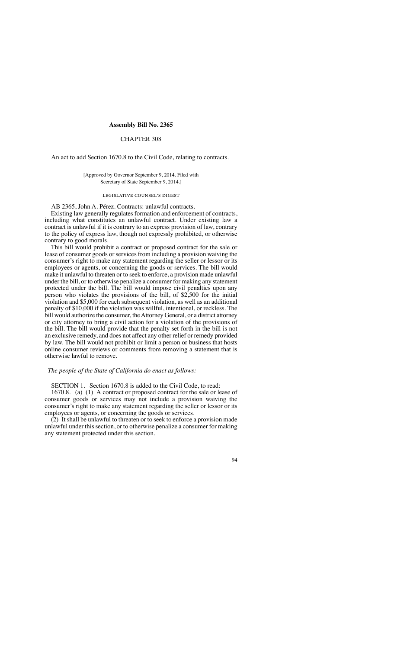#### **Assembly Bill No. 2365**

## CHAPTER 308

An act to add Section 1670.8 to the Civil Code, relating to contracts.

### [Approved by Governor September 9, 2014. Filed with Secretary of State September 9, 2014.]

#### legislative counsel's digest

AB 2365, John A. Pérez. Contracts: unlawful contracts. Existing law generally regulates formation and enforcement of contracts, including what constitutes an unlawful contract. Under existing law a contract is unlawful if it is contrary to an express provision of law, contrary to the policy of express law, though not expressly prohibited, or otherwise contrary to good morals.

This bill would prohibit a contract or proposed contract for the sale or lease of consumer goods or services from including a provision waiving the consumer's right to make any statement regarding the seller or lessor or its employees or agents, or concerning the goods or services. The bill would make it unlawful to threaten or to seek to enforce, a provision made unlawful under the bill, or to otherwise penalize a consumer for making any statement protected under the bill. The bill would impose civil penalties upon any person who violates the provisions of the bill, of \$2,500 for the initial violation and \$5,000 for each subsequent violation, as well as an additional penalty of \$10,000 if the violation was willful, intentional, or reckless. The bill would authorize the consumer, the Attorney General, or a district attorney or city attorney to bring a civil action for a violation of the provisions of the bill. The bill would provide that the penalty set forth in the bill is not an exclusive remedy, and does not affect any other relief or remedy provided by law. The bill would not prohibit or limit a person or business that hosts online consumer reviews or comments from removing a statement that is otherwise lawful to remove.

# *The people of the State of California do enact as follows:*

SECTION 1. Section 1670.8 is added to the Civil Code, to read:

1670.8. (a) (1) A contract or proposed contract for the sale or lease of consumer goods or services may not include a provision waiving the consumer's right to make any statement regarding the seller or lessor or its employees or agents, or concerning the goods or services.

 $(2)$  It shall be unlawful to threaten or to seek to enforce a provision made unlawful under this section, or to otherwise penalize a consumer for making any statement protected under this section.

### 94